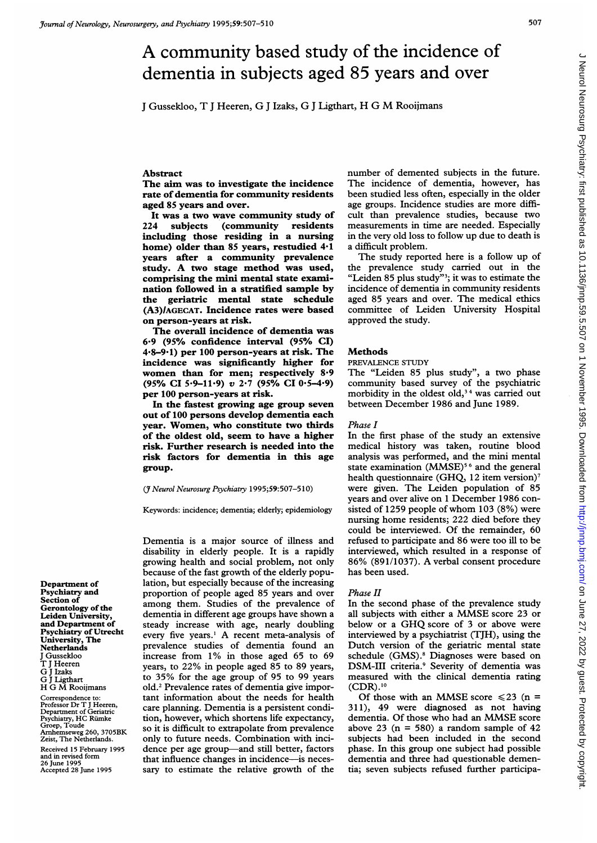<sup>J</sup> Gussekloo, T <sup>J</sup> Heeren, G <sup>J</sup> Izaks, G <sup>J</sup> Ligthart, H G M Rooijmans

#### Abstract

The aim was to investigate the incidence rate of dementia for community residents aged 85 years and over.

It was a two wave community study of<br>224 subjects (community residents) (community residents including those residing in a nursing home) older than 85 years, restudied 4.1 years after a community prevalence study. A two stage method was used, comprising the mini mental state examination followed in a stratified sample by the geriatric mental state schedule (A3)/AGECAT. Incidence rates were based on person-years at risk.

The overall incidence of dementia was 6-9 (95% confidence interval (95% CI) 4.8-9-1) per 100 person-years at risk. The incidence was significantly higher for women than for men; respectively 8-9 (95% CI 5.9-11.9) v 2.7 (95% CI 0.5-4.9) per 100 person-years at risk.

In the fastest growing age group seven out of 100 persons develop dementia each year. Women, who constitute two thirds of the oldest old, seem to have a higher risk. Further research is needed into the risk factors for dementia in this age group.

(3 Neurol Neurosurg Psychiatry 1995;59:507-5 10)

Keywords: incidence; dementia; elderly; epidemiology

Dementia is a major source of illness and disability in elderly people. It is a rapidly growing health and social problem, not only because of the fast growth of the elderly population, but especially because of the increasing proportion of people aged 85 years and over among them. Studies of the prevalence of dementia in different age groups have shown a steady increase with age, nearly doubling every five years.' A recent meta-analysis of prevalence studies of dementia found an increase from  $1\%$  in those aged 65 to 69 years, to 22% in people aged 85 to 89 years, to 35% for the age group of 95 to 99 years old.2 Prevalence rates of dementia give important information about the needs for health care planning. Dementia is a persistent condition, however, which shortens life expectancy, so it is difficult to extrapolate from prevalence only to future needs. Combination with incidence per age group-and still better, factors that influence changes in incidence-is necessary to estimate the relative growth of the

number of demented subjects in the future. The incidence of dementia, however, has been studied less often, especially in the older age groups. Incidence studies are more difficult than prevalence studies, because two measurements in time are needed. Especially in the very old loss to follow up due to death is a difficult problem.

The study reported here is <sup>a</sup> follow up of the prevalence study carried out in the "Leiden 85 plus study"<sup>3</sup>; it was to estimate the incidence of dementia in community residents aged 85 years and over. The medical ethics committee of Leiden University Hospital approved the study.

## Methods

## PREVALENCE STUDY

The "Leiden 85 plus study", a two phase community based survey of the psychiatric morbidity in the oldest old,<sup>34</sup> was carried out between December 1986 and June 1989.

## Phase I

In the first phase of the study an extensive medical history was taken, routine blood analysis was performed, and the mini mental state examination (MMSE)<sup>56</sup> and the general health questionnaire (GHQ, 12 item version)<sup>7</sup> were given. The Leiden population of 85 years and over alive on <sup>1</sup> December 1986 consisted of 1259 people of whom 103 (8%) were nursing home residents; 222 died before they could be interviewed. Of the remainder, 60 refused to participate and 86 were too ill to be interviewed, which resulted in a response of 86% (891/1037). A verbal consent procedure has been used.

#### Phase II

In the second phase of the prevalence study all subjects with either <sup>a</sup> MMSE score <sup>23</sup> or below or <sup>a</sup> GHQ score of <sup>3</sup> or above were interviewed by a psychiatrist (TJH), using the Dutch version of the geriatric mental state schedule (GMS).<sup>8</sup> Diagnoses were based on DSM-III criteria.9 Severity of dementia was measured with the clinical dementia rating  $(CDR).^{10}$ 

Of those with an MMSE score  $\leq 23$  (n = 311), 49 were diagnosed as not having dementia. Of those who had an MMSE score above 23 ( $n = 580$ ) a random sample of 42 subjects had been included in the second phase. In this group one subject had possible dementia and three had questionable dementia; seven subjects refused further participa-

Department of Psychiatry and Section of Gerontology of the Leiden University, and Department of Psychiatry of Utrecht University, The Netherlands J Gussekloo T <sup>J</sup> Heeren G <sup>J</sup> Izaks G <sup>J</sup> ligthart H G M Rooijmans Correspondence to: Professor Dr T <sup>J</sup> Heeren, Department of Geriatric

Psychiatry, HC Rumke Groep, Toude Arnhemseweg 260, 3705BK Zeist, The Netherlands. Received 15 February 1995 and in revised form 26 June 1995 Accepted 28 June 1995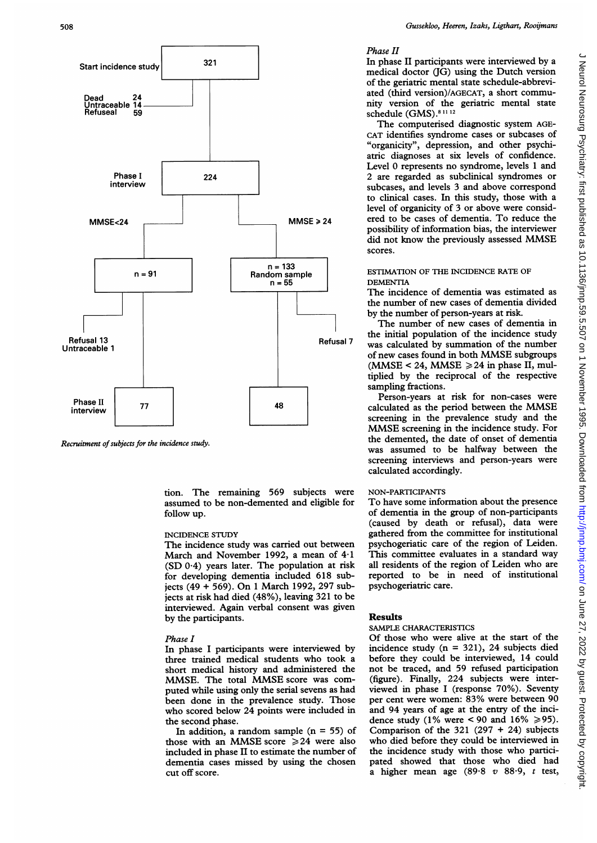

Recruitment of subjects for the incidence study.

tion. The remaining 569 subjects were assumed to be non-demented and eligible for follow up.

## INCIDENCE STUDY

The incidence study was carried out between March and November 1992, <sup>a</sup> mean of 4-1 (SD 0.4) years later. The population at risk for developing dementia included 618 subjects (49 + 569). On <sup>1</sup> March 1992, 297 subjects at risk had died (48%), leaving 321 to be interviewed. Again verbal consent was given by the participants.

### Phase I

In phase <sup>I</sup> participants were interviewed by three trained medical students who took <sup>a</sup> short medical history and administered the MMSE. The total MMSE score was computed while using only the serial sevens as had been done in the prevalence study. Those who scored below 24 points were included in the second phase.

In addition, a random sample  $(n = 55)$  of those with an MMSE score  $\geq 24$  were also included in phase II to estimate the number of dementia cases missed by using the chosen cut off score.

# Phase II

In phase II participants were interviewed by a medical doctor (JG) using the Dutch version of the geriatric mental state schedule-abbreviated (third version)/AGECAT, <sup>a</sup> short community version of the geriatric mental state schedule (GMS).<sup>81112</sup>

The computerised diagnostic system AGE-CAT identifies syndrome cases or subcases of "organicity", depression, and other psychiatric diagnoses at six levels of confidence. Level 0 represents no syndrome, levels <sup>1</sup> and 2 are regarded as subclinical syndromes or subcases, and levels 3 and above correspond to clinical cases. In this study, those with a level of organicity of 3 or above were considered to be cases of dementia. To reduce the possibility of information bias, the interviewer did not know the previously assessed MMSE scores.

# ESTIMATION OF THE INCIDENCE RATE OF DEMENTIA

The incidence of dementia was estimated as the number of new cases of dementia divided by the number of person-years at risk.

The number of new cases of dementia in the initial population of the incidence study was calculated by summation of the number of new cases found in both MMSE subgroups (MMSE < 24, MMSE  $\geq$  24 in phase II, multiplied by the reciprocal of the respective sampling fractions.

Person-years at risk for non-cases were calculated as the period between the MMSE screening in the prevalence study and the MMSE screening in the incidence study. For the demented, the date of onset of dementia was assumed to be halfway between the screening interviews and person-years were calculated accordingly.

# NON-PARTICIPANTS

To have some information about the presence of dementia in the group of non-participants (caused by death or refusal), data were gathered from the committee for institutional psychogeriatic care of the region of Leiden. This committee evaluates in a standard way all residents of the region of Leiden who are reported to be in need of institutional psychogeriatric care.

# Results

### SAMPLE CHARACTERISTICS

Of those who were alive at the start of the incidence study  $(n = 321)$ , 24 subjects died before they could be interviewed, 14 could not be traced, and 59 refused participation (figure). Finally, 224 subjects were interviewed in phase <sup>I</sup> (response 70%). Seventy per cent were women: 83% were between 90 and 94 years of age at the entry of the incidence study (1% were < 90 and 16%  $\ge$  95). Comparison of the  $321$  (297 + 24) subjects who died before they could be interviewed in the incidence study with those who participated showed that those who died had a higher mean age (89.8  $v$  88.9,  $t$  test,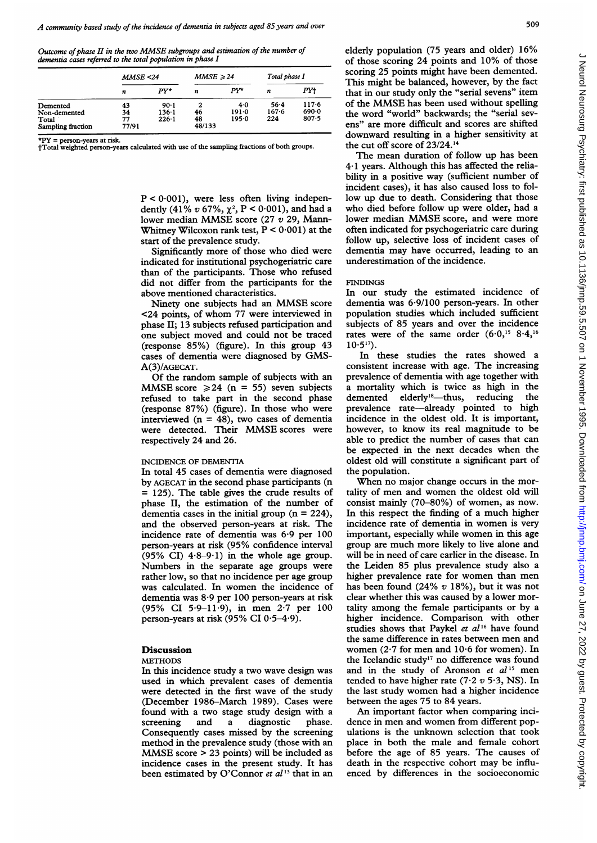Outcome of phase II in the two MMSE subgroups and estimation of the number of dementia cases referred to the total population in phase I

|                   | MMSE < 24 |           | $MMSE \geqslant 24$ |       | Total phase I |           |
|-------------------|-----------|-----------|---------------------|-------|---------------|-----------|
|                   | n         | PY*       | n                   | PY*   | n             | PY+       |
| Demented          | 43        | 90.1      | 2                   | 4.0   | $56 - 4$      | $117 - 6$ |
| Non-demented      | 34        | $136 - 1$ | 46                  | 191.0 | $167 - 6$     | 690.0     |
| Total             | 77        | $226 - 1$ | 48                  | 195.0 | 224           | 807.5     |
| Sampling fraction | 77/91     |           | 48/133              |       |               |           |

\*PY = person-years at risk.

tTotal weighted person-years calculated with use of the sampling fractions of both groups.

 $P < 0.001$ ), were less often living independently (41% v 67%,  $\chi^2$ , P < 0.001), and had a lower median MMSE score (27 <sup>v</sup> 29, Mann-Whitney Wilcoxon rank test,  $P < 0.001$ ) at the start of the prevalence study.

Significantly more of those who died were indicated for institutional psychogeriatric care than of the participants. Those who refused did not differ from the participants for the above mentioned characteristics.

Ninety one subjects had an MMSE score <24 points, of whom 77 were interviewed in phase II; 13 subjects refused participation and one subject moved and could not be traced (response 85%) (figure). In this group 43 cases of dementia were diagnosed by GMS-A(3)/AGECAT.

Of the random sample of subjects with an MMSE score  $\geq 24$  (n = 55) seven subjects refused to take part in the second phase (response 87%) (figure). In those who were interviewed  $(n = 48)$ , two cases of dementia were detected. Their MMSE scores were respectively 24 and 26.

#### INCIDENCE OF DEMENTIA

In total 45 cases of dementia were diagnosed by AGECAT in the second phase participants (n = 125). The table gives the crude results of phase II, the estimation of the number of dementia cases in the initial group  $(n = 224)$ , and the observed person-years at risk. The incidence rate of dementia was 6-9 per 100 person-years at risk (95% confidence interval (95% CI)  $4.8-9.1$ ) in the whole age group. Numbers in the separate age groups were rather low, so that no incidence per age group was calculated. In women the incidence of dementia was 8-9 per 100 person-years at risk (95% CI 5.9-11.9), in men 2.7 per 100 person-years at risk (95% CI  $0.5-4.9$ ).

# **Discussion**

### **METHODS**

In this incidence study a two wave design was used in which prevalent cases of dementia were detected in the first wave of the study (December 1986-March 1989). Cases were found with a two stage study design with a screening and a diagnostic phase. Consequently cases missed by the screening method in the prevalence study (those with an MMSE score <sup>&</sup>gt; <sup>23</sup> points) will be included as incidence cases in the present study. It has been estimated by O'Connor et  $al^{13}$  that in an elderly population (75 years and older) 16% of those scoring 24 points and 10% of those scoring 25 points might have been demented. This might be balanced, however, by the fact that in our study only the "serial sevens" item of the MMSE has been used without spelling the word "world" backwards; the "serial sevens" are more difficult and scores are shifted downward resulting in a higher sensitivity at the cut off score of 23/24.14

The mean duration of follow up has been 4-1 years. Although this has affected the reliability in <sup>a</sup> positive way (sufficient number of incident cases), it has also caused loss to follow up due to death. Considering that those who died before follow up were older, had <sup>a</sup> lower median MMSE score, and were more often indicated for psychogeriatric care during follow up, selective loss of incident cases of dementia may have occurred, leading to an underestimation of the incidence.

#### **FINDINGS**

In our study the estimated incidence of dementia was 6 9/100 person-years. In other population studies which included sufficient subjects of 85 years and over the incidence rates were of the same order  $(6.0, 15.8.4, 16.5)$  $10.5^{17}$ ).

In these studies the rates showed a consistent increase with age. The increasing prevalence of dementia with age together with a mortality which is twice as high in the demented elderly<sup>18</sup>-thus, reducing the prevalence rate-already pointed to high incidence in the oldest old. It is important, however, to know its real magnitude to be able to predict the number of cases that can be expected in the next decades when the oldest old will constitute a significant part of the population.

When no major change occurs in the mortality of men and women the oldest old will consist mainly (70-80%) of women, as now. In this respect the finding of <sup>a</sup> much higher incidence rate of dementia in women is very important, especially while women in this age group are much more likely to live alone and will be in need of care earlier in the disease. In the Leiden 85 plus prevalence study also a higher prevalence rate for women than men has been found  $(24\% v 18\%)$ , but it was not clear whether this was caused by a lower mortality among the female participants or by a higher incidence. Comparison with other studies shows that Paykel et al<sup>16</sup> have found the same difference in rates between men and women  $(2.7$  for men and  $10.6$  for women). In the Icelandic study'7 no difference was found and in the study of Aronson et  $al^{15}$  men tended to have higher rate (7.2  $v$  5.3, NS). In the last study women had <sup>a</sup> higher incidence between the ages 75 to 84 years.

An important factor when comparing incidence in men and women from different populations is the unknown selection that took place in both the male and female cohort before the age of 85 years. The causes of death in the respective cohort may be influenced by differences in the socioeconomic